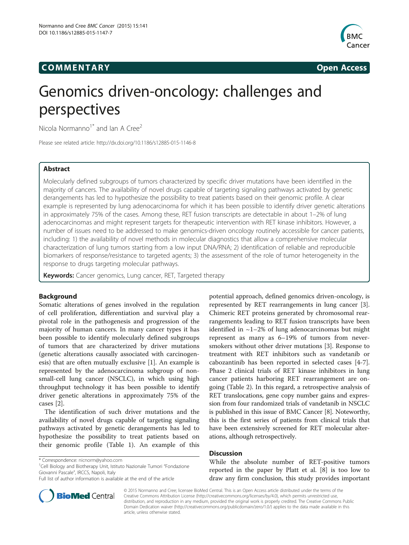## COMM EN TARY Open Access



# Genomics driven-oncology: challenges and perspectives

Nicola Normanno<sup>1\*</sup> and Ian A Cree<sup>2</sup>

Please see related article:<http://dx.doi.org/10.1186/s12885-015-1146-8>

## Abstract

Molecularly defined subgroups of tumors characterized by specific driver mutations have been identified in the majority of cancers. The availability of novel drugs capable of targeting signaling pathways activated by genetic derangements has led to hypothesize the possibility to treat patients based on their genomic profile. A clear example is represented by lung adenocarcinoma for which it has been possible to identify driver genetic alterations in approximately 75% of the cases. Among these, RET fusion transcripts are detectable in about 1–2% of lung adenocarcinomas and might represent targets for therapeutic intervention with RET kinase inhibitors. However, a number of issues need to be addressed to make genomics-driven oncology routinely accessible for cancer patients, including: 1) the availability of novel methods in molecular diagnostics that allow a comprehensive molecular characterization of lung tumors starting from a low input DNA/RNA; 2) identification of reliable and reproducible biomarkers of response/resistance to targeted agents; 3) the assessment of the role of tumor heterogeneity in the response to drugs targeting molecular pathways.

Keywords: Cancer genomics, Lung cancer, RET, Targeted therapy

## Background

Somatic alterations of genes involved in the regulation of cell proliferation, differentiation and survival play a pivotal role in the pathogenesis and progression of the majority of human cancers. In many cancer types it has been possible to identify molecularly defined subgroups of tumors that are characterized by driver mutations (genetic alterations causally associated with carcinogenesis) that are often mutually exclusive [\[1](#page-2-0)]. An example is represented by the adenocarcinoma subgroup of nonsmall-cell lung cancer (NSCLC), in which using high throughput technology it has been possible to identify driver genetic alterations in approximately 75% of the cases [[2\]](#page-2-0).

The identification of such driver mutations and the availability of novel drugs capable of targeting signaling pathways activated by genetic derangements has led to hypothesize the possibility to treat patients based on their genomic profile (Table [1\)](#page-1-0). An example of this

<sup>1</sup>Cell Biology and Biotherapy Unit, Istituto Nazionale Tumori "Fondazione Giovanni Pascale", IRCCS, Napoli, Italy

potential approach, defined genomics driven-oncology, is represented by RET rearrangements in lung cancer [\[3](#page-2-0)]. Chimeric RET proteins generated by chromosomal rearrangements leading to RET fusion transcripts have been identified in  $\sim$ 1–2% of lung adenocarcinomas but might represent as many as 6–19% of tumors from neversmokers without other driver mutations [[3\]](#page-2-0). Response to treatment with RET inhibitors such as vandetanib or cabozantinib has been reported in selected cases [[4-7](#page-2-0)]. Phase 2 clinical trials of RET kinase inhibitors in lung cancer patients harboring RET rearrangement are ongoing (Table [2\)](#page-1-0). In this regard, a retrospective analysis of RET translocations, gene copy number gains and expression from four randomized trials of vandetanib in NSCLC is published in this issue of BMC Cancer [[8\]](#page-2-0). Noteworthy, this is the first series of patients from clinical trials that have been extensively screened for RET molecular alterations, although retrospectively.

## **Discussion**

While the absolute number of RET-positive tumors reported in the paper by Platt et al. [\[8](#page-2-0)] is too low to draw any firm conclusion, this study provides important



© 2015 Normanno and Cree; licensee BioMed Central. This is an Open Access article distributed under the terms of the Creative Commons Attribution License (<http://creativecommons.org/licenses/by/4.0>), which permits unrestricted use, distribution, and reproduction in any medium, provided the original work is properly credited. The Creative Commons Public Domain Dedication waiver [\(http://creativecommons.org/publicdomain/zero/1.0/\)](http://creativecommons.org/publicdomain/zero/1.0/) applies to the data made available in this article, unless otherwise stated.

<sup>\*</sup> Correspondence: [nicnorm@yahoo.com](mailto:nicnorm@yahoo.com) <sup>1</sup>

Full list of author information is available at the end of the article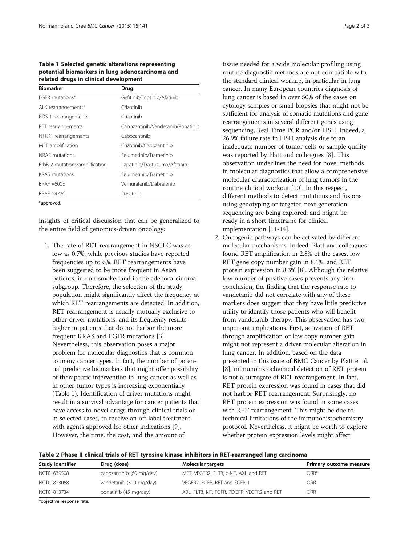<span id="page-1-0"></span>Table 1 Selected genetic alterations representing potential biomarkers in lung adenocarcinoma and related drugs in clinical development

| <b>Biomarker</b>               | Drug                              |  |
|--------------------------------|-----------------------------------|--|
| FGFR mutations*                | Gefitinib/Erlotinib/Afatinib      |  |
| ALK rearrangements*            | Crizotinib                        |  |
| ROS-1 rearrangements           | Crizotinib                        |  |
| RET rearrangements             | Cabozantinib/Vandetanib/Ponatinib |  |
| NTRK1 rearrangements           | Cabozantinib                      |  |
| MET amplification              | Crizotinib/Cabozantinib           |  |
| NRAS mutations                 | Selumetinib/Trametinib            |  |
| ErbB-2 mutations/amplification | Lapatinib/Trastuzuma/Afatinib     |  |
| <b>KRAS</b> mutations          | Selumetinib/Trametinib            |  |
| BRAF V600E                     | Vemurafenib/Dabrafenib            |  |
| BRAF Y472C                     | Dasatinib                         |  |
| *approved.                     |                                   |  |

insights of critical discussion that can be generalized to the entire field of genomics-driven oncology:

1. The rate of RET rearrangement in NSCLC was as low as 0.7%, while previous studies have reported frequencies up to 6%. RET rearrangements have been suggested to be more frequent in Asian patients, in non-smoker and in the adenocarcinoma subgroup. Therefore, the selection of the study population might significantly affect the frequency at which RET rearrangements are detected. In addition, RET rearrangement is usually mutually exclusive to other driver mutations, and its frequency results higher in patients that do not harbor the more frequent KRAS and EGFR mutations [\[3](#page-2-0)]. Nevertheless, this observation poses a major problem for molecular diagnostics that is common to many cancer types. In fact, the number of potential predictive biomarkers that might offer possibility of therapeutic intervention in lung cancer as well as in other tumor types is increasing exponentially (Table 1). Identification of driver mutations might result in a survival advantage for cancer patients that have access to novel drugs through clinical trials or, in selected cases, to receive an off-label treatment with agents approved for other indications [\[9\]](#page-2-0). However, the time, the cost, and the amount of

tissue needed for a wide molecular profiling using routine diagnostic methods are not compatible with the standard clinical workup, in particular in lung cancer. In many European countries diagnosis of lung cancer is based in over 50% of the cases on cytology samples or small biopsies that might not be sufficient for analysis of somatic mutations and gene rearrangements in several different genes using sequencing, Real Time PCR and/or FISH. Indeed, a 26.9% failure rate in FISH analysis due to an inadequate number of tumor cells or sample quality was reported by Platt and colleagues [[8\]](#page-2-0). This observation underlines the need for novel methods in molecular diagnostics that allow a comprehensive molecular characterization of lung tumors in the routine clinical workout [\[10](#page-2-0)]. In this respect, different methods to detect mutations and fusions using genotyping or targeted next generation sequencing are being explored, and might be ready in a short timeframe for clinical implementation [[11-14\]](#page-2-0).

2. Oncogenic pathways can be activated by different molecular mechanisms. Indeed, Platt and colleagues found RET amplification in 2.8% of the cases, low RET gene copy number gain in 8.1%, and RET protein expression in 8.3% [[8\]](#page-2-0). Although the relative low number of positive cases prevents any firm conclusion, the finding that the response rate to vandetanib did not correlate with any of these markers does suggest that they have little predictive utility to identify those patients who will benefit from vandetanib therapy. This observation has two important implications. First, activation of RET through amplification or low copy number gain might not represent a driver molecular alteration in lung cancer. In addition, based on the data presented in this issue of BMC Cancer by Platt et al. [[8](#page-2-0)], immunohistochemical detection of RET protein is not a surrogate of RET rearrangement. In fact, RET protein expression was found in cases that did not harbor RET rearrangement. Surprisingly, no RET protein expression was found in some cases with RET rearrangement. This might be due to technical limitations of the immunohistochemistry protocol. Nevertheless, it might be worth to explore whether protein expression levels might affect

| Table 2 Phase II clinical trials of RET tyrosine kinase inhibitors in RET-rearranged lung carcinoma |  |  |  |
|-----------------------------------------------------------------------------------------------------|--|--|--|
|-----------------------------------------------------------------------------------------------------|--|--|--|

| Study identifier | Drug (dose)              | <b>Molecular targets</b>                    | Primary outcome measure |
|------------------|--------------------------|---------------------------------------------|-------------------------|
| NCT01639508      | cabozantinib (60 mg/day) | MET, VEGFR2, FLT3, c-KIT, AXL and RET       | ORR*                    |
| NCT01823068      | vandetanib (300 mg/day)  | VEGFR2, EGFR, RET and FGFR-1                | ORR                     |
| NCT01813734      | ponatinib (45 mg/day)    | ABL, FLT3, KIT, FGFR, PDGFR, VEGFR2 and RET | ORR                     |

\*objective response rate.